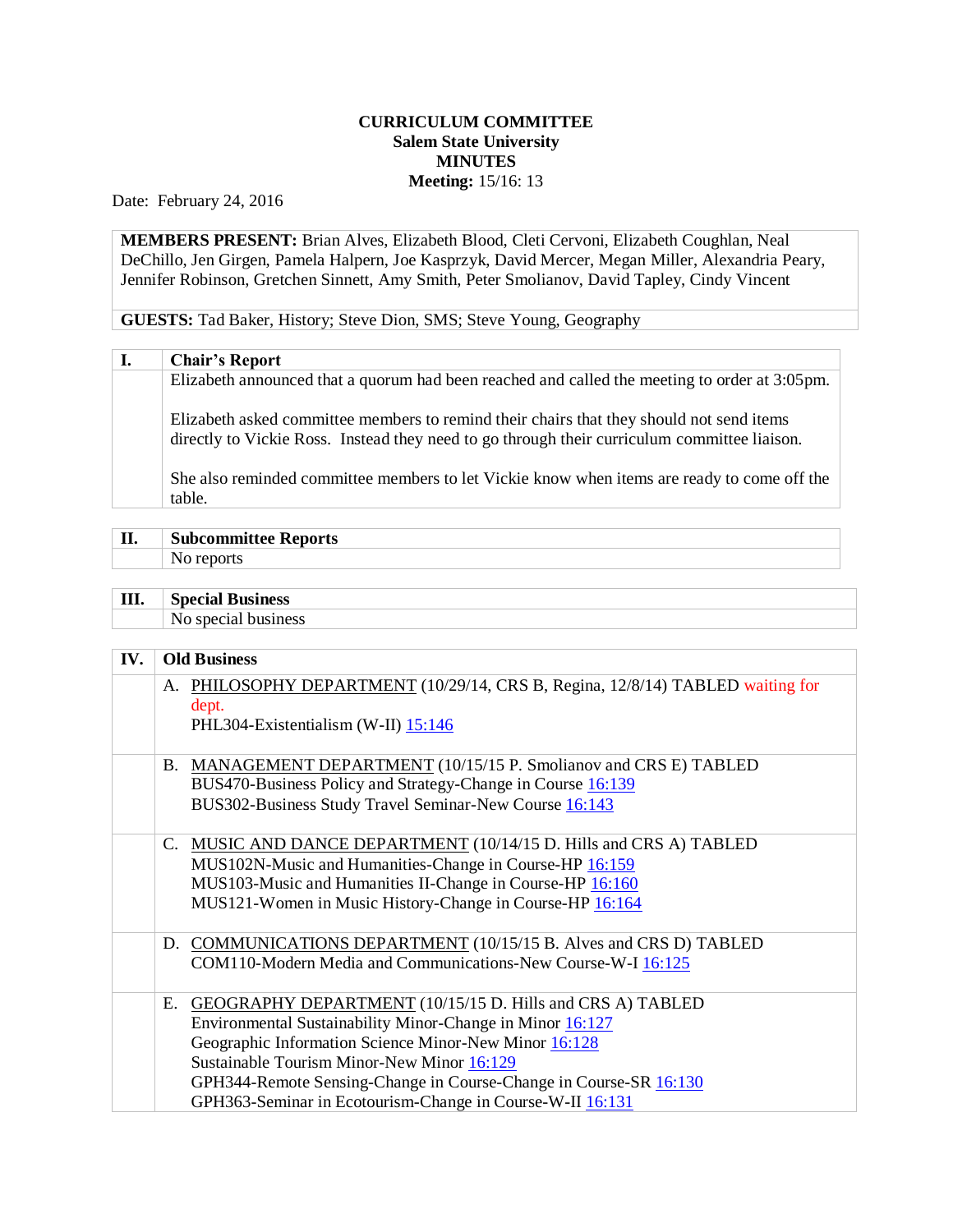## **CURRICULUM COMMITTEE Salem State University MINUTES Meeting:** 15/16: 13

Date: February 24, 2016

**MEMBERS PRESENT:** Brian Alves, Elizabeth Blood, Cleti Cervoni, Elizabeth Coughlan, Neal DeChillo, Jen Girgen, Pamela Halpern, Joe Kasprzyk, David Mercer, Megan Miller, Alexandria Peary, Jennifer Robinson, Gretchen Sinnett, Amy Smith, Peter Smolianov, David Tapley, Cindy Vincent

**GUESTS:** Tad Baker, History; Steve Dion, SMS; Steve Young, Geography

## **I. Chair's Report**

Elizabeth announced that a quorum had been reached and called the meeting to order at 3:05pm.

Elizabeth asked committee members to remind their chairs that they should not send items directly to Vickie Ross. Instead they need to go through their curriculum committee liaison.

She also reminded committee members to let Vickie know when items are ready to come off the table.

| П. | <b>Subcommittee Reports</b> |
|----|-----------------------------|
|    |                             |

| Ш. | <b>Special Business</b> |
|----|-------------------------|
|    | No special business     |

## **IV. Old Business**

| A. PHILOSOPHY DEPARTMENT (10/29/14, CRS B, Regina, 12/8/14) TABLED waiting for<br>dept.<br>PHL304-Existentialism (W-II) 15:146                                                                                                                                                                                                                                        |
|-----------------------------------------------------------------------------------------------------------------------------------------------------------------------------------------------------------------------------------------------------------------------------------------------------------------------------------------------------------------------|
| B. MANAGEMENT DEPARTMENT (10/15/15 P. Smolianov and CRS E) TABLED<br>BUS470-Business Policy and Strategy-Change in Course 16:139<br>BUS302-Business Study Travel Seminar-New Course 16:143                                                                                                                                                                            |
| C. MUSIC AND DANCE DEPARTMENT (10/14/15 D. Hills and CRS A) TABLED<br>MUS102N-Music and Humanities-Change in Course-HP 16:159<br>MUS103-Music and Humanities II-Change in Course-HP 16:160<br>MUS121-Women in Music History-Change in Course-HP 16:164                                                                                                                |
| D. COMMUNICATIONS DEPARTMENT (10/15/15 B. Alves and CRS D) TABLED<br>COM110-Modern Media and Communications-New Course-W-I 16:125                                                                                                                                                                                                                                     |
| GEOGRAPHY DEPARTMENT (10/15/15 D. Hills and CRS A) TABLED<br>Е.<br>Environmental Sustainability Minor-Change in Minor 16:127<br>Geographic Information Science Minor-New Minor 16:128<br>Sustainable Tourism Minor-New Minor 16:129<br>GPH344-Remote Sensing-Change in Course-Change in Course-SR 16:130<br>GPH363-Seminar in Ecotourism-Change in Course-W-II 16:131 |